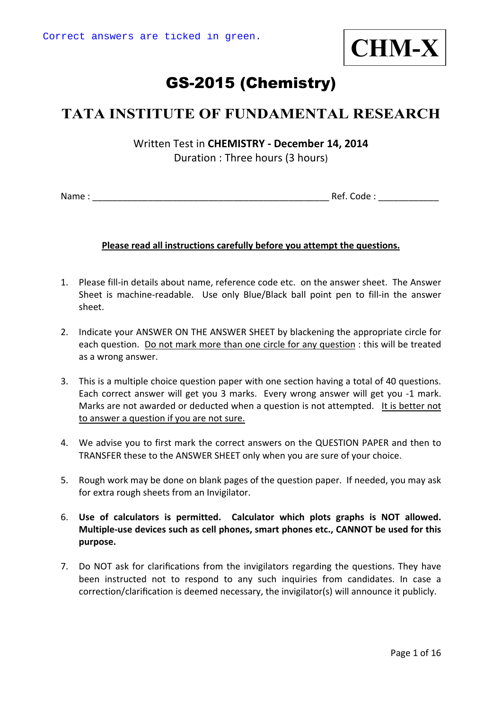

# GS-2015 (Chemistry)

## **TATA INSTITUTE OF FUNDAMENTAL RESEARCH**

Written Test in **CHEMISTRY ‐ December 14, 2014** Duration : Three hours (3 hours)

Name : \_\_\_\_\_\_\_\_\_\_\_\_\_\_\_\_\_\_\_\_\_\_\_\_\_\_\_\_\_\_\_\_\_\_\_\_\_\_\_\_\_\_\_\_\_\_\_ Ref. Code : \_\_\_\_\_\_\_\_\_\_\_\_

#### **Please read all instructions carefully before you attempt the questions.**

- 1. Please fill‐in details about name, reference code etc. on the answer sheet. The Answer Sheet is machine-readable. Use only Blue/Black ball point pen to fill-in the answer sheet.
- 2. Indicate your ANSWER ON THE ANSWER SHEET by blackening the appropriate circle for each question. Do not mark more than one circle for any question : this will be treated as a wrong answer.
- 3. This is a multiple choice question paper with one section having a total of 40 questions. Each correct answer will get you 3 marks. Every wrong answer will get you ‐1 mark. Marks are not awarded or deducted when a question is not attempted. It is better not to answer a question if you are not sure.
- 4. We advise you to first mark the correct answers on the QUESTION PAPER and then to TRANSFER these to the ANSWER SHEET only when you are sure of your choice.
- 5. Rough work may be done on blank pages of the question paper. If needed, you may ask for extra rough sheets from an Invigilator.
- 6. **Use of calculators is permitted. Calculator which plots graphs is NOT allowed. Multiple‐use devices such as cell phones, smart phones etc., CANNOT be used for this purpose.**
- 7. Do NOT ask for clarifications from the invigilators regarding the questions. They have been instructed not to respond to any such inquiries from candidates. In case a correction/clarification is deemed necessary, the invigilator(s) will announce it publicly.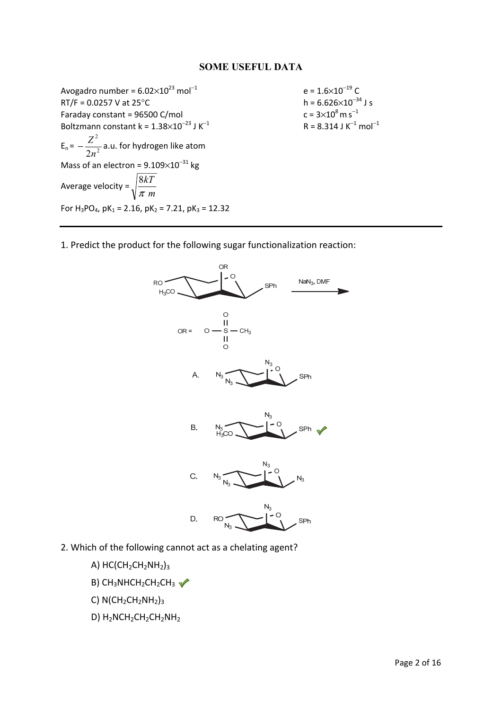#### **SOME USEFUL DATA**

Avogadro number =  $6.02 \times 10^{23}$  mol<sup>-1</sup> e =  $1.6 \times 10^{-19}$  C<br>RT/F = 0.0257 V at 25°C h =  $6.626 \times 10^{-34}$  J s  $RT/F = 0.0257$  V at 25 $°C$ Faraday constant =  $96500$  C/mol Boltzmann constant k =  $1.38\times10^{-23}$  J K<sup>-1</sup>  $E_n = -\frac{2}{2n^2}$ 2 2*n*  $-\frac{Z^2}{Z^2}$  a.u. for hydrogen like atom Mass of an electron =  $9.109\times10^{-31}$  kg Average velocity = *m kT* π 8 For  $H_3PO_4$ , pK<sub>1</sub> = 2.16, pK<sub>2</sub> = 7.21, pK<sub>3</sub> = 12.32

 $c = 3 \times 10^8$  m s<sup>-1</sup>  $R = 8.314$  J K<sup>-1</sup> mol<sup>-1</sup>

1. Predict the product for the following sugar functionalization reaction:



- 2. Which of the following cannot act as a chelating agent?
	- A)  $HC(CH_2CH_2NH_2)_3$
	- B)  $CH_3NHCH_2CH_2CH_3 \simeq$
	- C)  $N(CH_2CH_2NH_2)_3$
	- D) H<sub>2</sub>NCH<sub>2</sub>CH<sub>2</sub>CH<sub>2</sub>NH<sub>2</sub>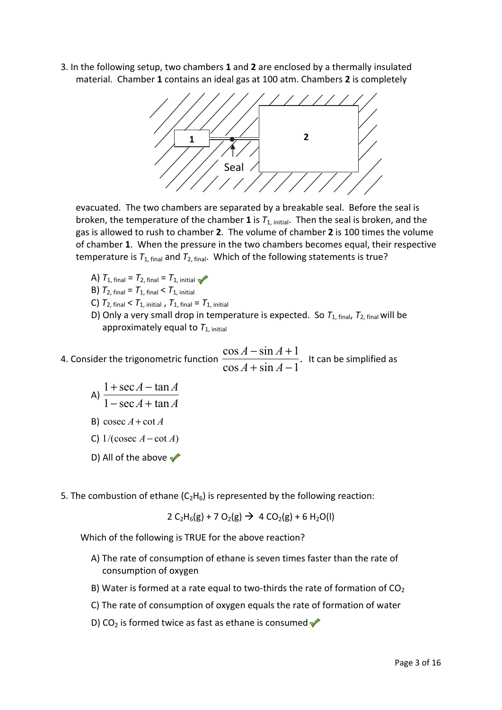3. In the following setup, two chambers **1** and **2** are enclosed by a thermally insulated material. Chamber **1** contains an ideal gas at 100 atm. Chambers **2** is completely



evacuated. The two chambers are separated by a breakable seal. Before the seal is broken, the temperature of the chamber **1** is *T*1, initial. Then the seal is broken, and the gas is allowed to rush to chamber **2**. The volume of chamber **2** is 100 times the volume of chamber **1**. When the pressure in the two chambers becomes equal, their respective temperature is  $T_{1, final}$  and  $T_{2, final}$ . Which of the following statements is true?

- A)  $T_{1, final} = T_{2, final} = T_{1, initial}$
- **B)**  $T_{2, final} = T_{1, final} < T_{1, initial}$
- **C)**  $T_{2, final} < T_{1, initial}$ ,  $T_{1, final} = T_{1, initial}$
- D) Only a very small drop in temperature is expected. So  $T_{1, final}$ ,  $T_{2, final}$  will be approximately equal to  $T_{1, initial}$

4. Consider the trigonometric function  $\frac{\cos A + \sin A + 1}{\cos A + \sin A - 1}.$  $\cos A - \sin A + 1$  $+ \sin A -\sin A +$  $A + \sin A$  $A - \sin A$ It can be simplified as

- A)  $\frac{a}{1-\sec A + \tan A}$  $A - \tan A$  $1 - \sec A + \tan A$  $1 + \sec A - \tan A$  $-$  sec  $A +$  $+ \sec A -$ B) cosec  $A$  + cot  $A$  C) 1/(cosec *A* − cot *A*) D) All of the above  $\checkmark$ 
	-
- 5. The combustion of ethane  $(C_2H_6)$  is represented by the following reaction:

 $2 C_2H_6(g) + 7 O_2(g) \rightarrow 4 CO_2(g) + 6 H_2O(l)$ 

Which of the following is TRUE for the above reaction?

- A) The rate of consumption of ethane is seven times faster than the rate of consumption of oxygen
- B) Water is formed at a rate equal to two-thirds the rate of formation of  $CO<sub>2</sub>$
- C) The rate of consumption of oxygen equals the rate of formation of water
- D) CO<sub>2</sub> is formed twice as fast as ethane is consumed  $\sqrt{\ }$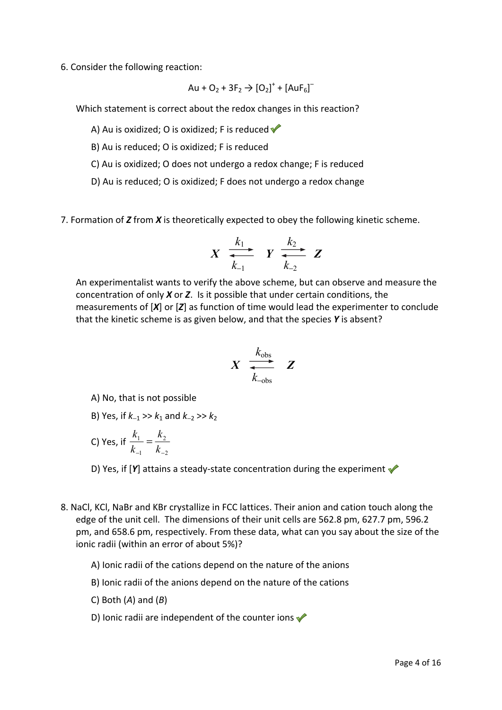6. Consider the following reaction:

$$
Au + O_2 + 3F_2 \rightarrow [O_2]^+ + [AuF_6]^-
$$

Which statement is correct about the redox changes in this reaction?

A) Au is oxidized; O is oxidized; F is reduced  $\blacklozenge$ 

B) Au is reduced; O is oxidized; F is reduced

C) Au is oxidized; O does not undergo a redox change; F is reduced

D) Au is reduced; O is oxidized; F does not undergo a redox change

7. Formation of *Z* from *X* is theoretically expected to obey the following kinetic scheme.

$$
X \xrightarrow[k_{-1}]{k_1} Y \xrightarrow[k_{-2}]{k_2} Z
$$

 An experimentalist wants to verify the above scheme, but can observe and measure the concentration of only *X* or *Z*. Is it possible that under certain conditions, the measurements of [*X*] or [*Z*] as function of time would lead the experimenter to conclude that the kinetic scheme is as given below, and that the species *Y* is absent?

$$
X \begin{array}{ccc} k_{\text{obs}} \\ \hline \\ k_{-\text{obs}} \end{array} Z
$$

A) No, that is not possible

- B) Yes, if *k*−1 >> *k*1 and *k*−2 >> *k*<sup>2</sup>
- C) Yes, if 2 2 1 1  $\frac{k_1}{-1} = \frac{k_2}{k_1}$ *k k k*

D) Yes, if [*Y*] attains a steady-state concentration during the experiment

8. NaCl, KCl, NaBr and KBr crystallize in FCC lattices. Their anion and cation touch along the edge of the unit cell. The dimensions of their unit cells are 562.8 pm, 627.7 pm, 596.2 pm, and 658.6 pm, respectively. From these data, what can you say about the size of the ionic radii (within an error of about 5%)?

A) Ionic radii of the cations depend on the nature of the anions

- B) Ionic radii of the anions depend on the nature of the cations
- C) Both (*A*) and (*B*)
- D) Ionic radii are independent of the counter ions  $\blacklozenge$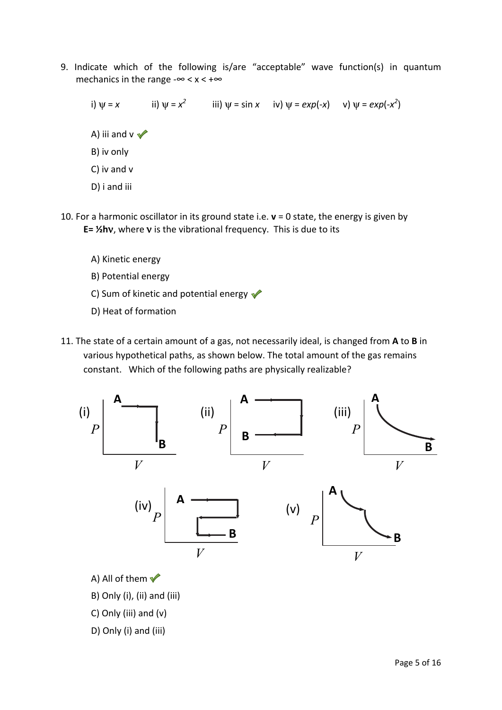9. Indicate which of the following is/are "acceptable" wave function(s) in quantum mechanics in the range  $-\infty < x < +\infty$ 

i)  $\psi = x$  ii)  $\psi = x^2$  iii)  $\psi = \sin x$  iv)  $\psi = \exp(-x)$  v)  $\psi = \exp(-x^2)$ A) iii and  $v \nightharpoondown$  B) iv only C) iv and v D) i and iii

- 10. For a harmonic oscillator in its ground state i.e. **v** = 0 state, the energy is given by **E= ½h**ν, where ν is the vibrational frequency. This is due to its
	- A) Kinetic energy
	- B) Potential energy
	- C) Sum of kinetic and potential energy  $\blacklozenge$
	- D) Heat of formation
- 11. The state of a certain amount of a gas, not necessarily ideal, is changed from **A** to **B** in various hypothetical paths, as shown below. The total amount of the gas remains constant. Which of the following paths are physically realizable?

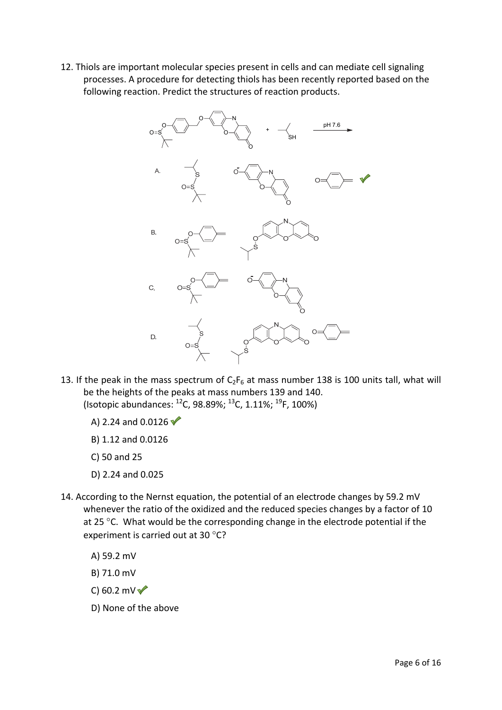12. Thiols are important molecular species present in cells and can mediate cell signaling processes. A procedure for detecting thiols has been recently reported based on the following reaction. Predict the structures of reaction products.



- 13. If the peak in the mass spectrum of  $C_2F_6$  at mass number 138 is 100 units tall, what will be the heights of the peaks at mass numbers 139 and 140. (Isotopic abundances:  $^{12}$ C, 98.89%;  $^{13}$ C, 1.11%;  $^{19}$ F, 100%)
	- A) 2.24 and 0.0126  $\sqrt{\ }$
	- B) 1.12 and 0.0126
	- C) 50 and 25
	- D) 2.24 and 0.025
- 14. According to the Nernst equation, the potential of an electrode changes by 59.2 mV whenever the ratio of the oxidized and the reduced species changes by a factor of 10 at 25 $\degree$ C. What would be the corresponding change in the electrode potential if the experiment is carried out at 30 °C?
	- A) 59.2 mV
	- B) 71.0 mV
	- C) 60.2 mV $\sqrt{ }$
	- D) None of the above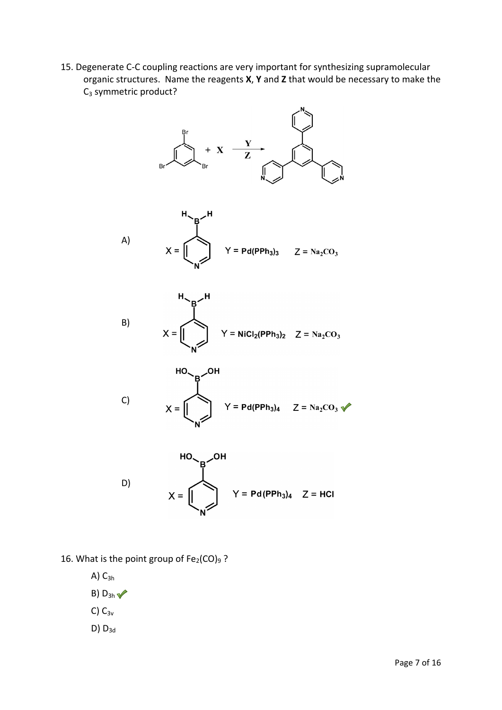15. Degenerate C-C coupling reactions are very important for synthesizing supramolecular organic structures. Name the reagents **X**, **Y** and **Z** that would be necessary to make the  $C_3$  symmetric product?







C)  
\n
$$
X = \begin{bmatrix} 10 & B & 0H \\ 0 & 14 & 0.01 \\ 0 & 0.01 & 0.01 \\ 0 & 0 & 0.01 & 0.01 \end{bmatrix}
$$

D)

- 16. What is the point group of  $Fe<sub>2</sub>(CO)<sub>9</sub>$ ?
	- $A)$   $C_{3h}$

B)  $D_{3h}$ 

C)  $C_{3v}$ 

 $D) D_{3d}$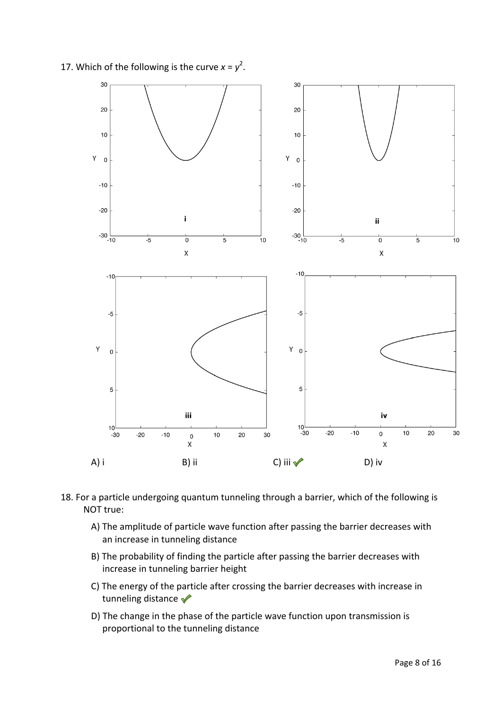17. Which of the following is the curve  $x = y^2$ .



- 18. For a particle undergoing quantum tunneling through a barrier, which of the following is NOT true:
	- A) The amplitude of particle wave function after passing the barrier decreases with an increase in tunneling distance
	- B) The probability of finding the particle after passing the barrier decreases with increase in tunneling barrier height
	- C) The energy of the particle after crossing the barrier decreases with increase in tunneling distance
	- D) The change in the phase of the particle wave function upon transmission is proportional to the tunneling distance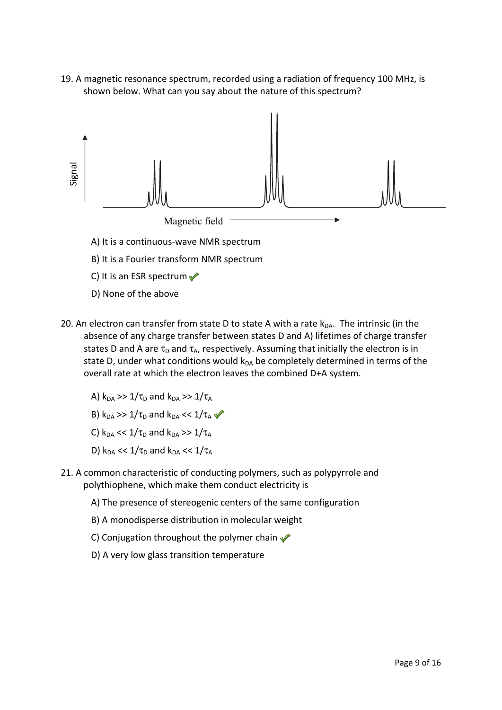19. A magnetic resonance spectrum, recorded using a radiation of frequency 100 MHz, is shown below. What can you say about the nature of this spectrum?



- 20. An electron can transfer from state D to state A with a rate  $k_{DA}$ . The intrinsic (in the absence of any charge transfer between states D and A) lifetimes of charge transfer states D and A are  $\tau_D$  and  $\tau_A$ , respectively. Assuming that initially the electron is in state D, under what conditions would  $k_{DA}$  be completely determined in terms of the overall rate at which the electron leaves the combined D+A system.
	- A)  $k_{DA} >> 1/\tau_D$  and  $k_{DA} >> 1/\tau_A$
	- B)  $k_{DA} >> 1/\tau_D$  and  $k_{DA} << 1/\tau_A$
	- C)  $k_{DA} \ll 1/\tau_D$  and  $k_{DA} \gg 1/\tau_A$
	- D)  $k_{DA} \ll 1/\tau_D$  and  $k_{DA} \ll 1/\tau_A$
- 21. A common characteristic of conducting polymers, such as polypyrrole and polythiophene, which make them conduct electricity is
	- A) The presence of stereogenic centers of the same configuration
	- B) A monodisperse distribution in molecular weight
	- C) Conjugation throughout the polymer chain
	-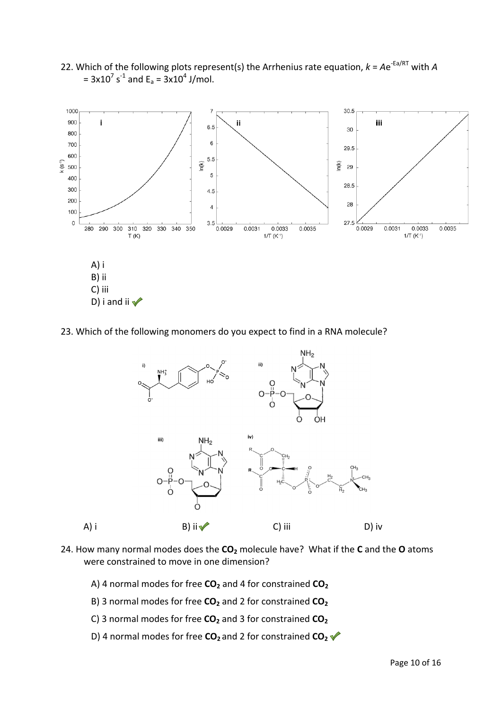

22. Which of the following plots represent(s) the Arrhenius rate equation,  $k = Ae^{-Ea/RT}$  with *A*  $= 3x10^7$  s<sup>-1</sup> and E<sub>a</sub> =  $3x10^4$  J/mol.

23. Which of the following monomers do you expect to find in a RNA molecule?



- 24. How many normal modes does the **CO2** molecule have? What if the **C** and the **O** atoms were constrained to move in one dimension?
	- A) 4 normal modes for free CO<sub>2</sub> and 4 for constrained CO<sub>2</sub>
	- B) 3 normal modes for free CO<sub>2</sub> and 2 for constrained CO<sub>2</sub>
	- C) 3 normal modes for free CO<sub>2</sub> and 3 for constrained CO<sub>2</sub>
	- D) 4 normal modes for free **CO**<sub>2</sub> and 2 for constrained **CO**<sub>2</sub> ↓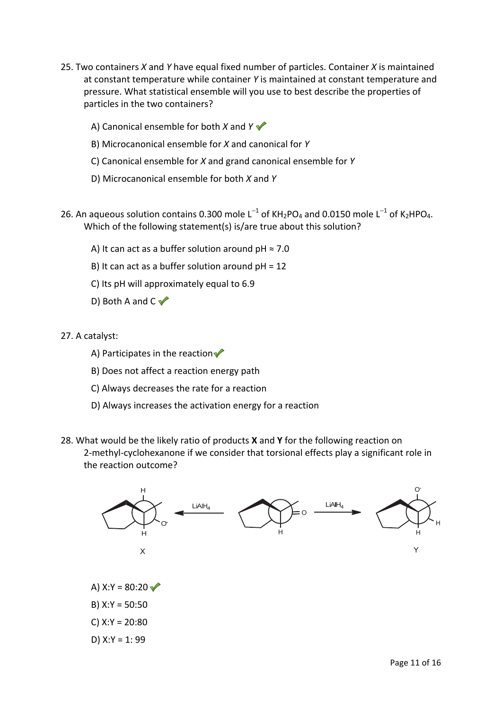- 25. Two containers *X* and *Y* have equal fixed number of particles. Container *X* is maintained at constant temperature while container *Y* is maintained at constant temperature and pressure. What statistical ensemble will you use to best describe the properties of particles in the two containers?
	- A) Canonical ensemble for both *X* and *Y*
	- B) Microcanonical ensemble for *X* and canonical for *Y*
	- C) Canonical ensemble for *X* and grand canonical ensemble for *Y*
	- D) Microcanonical ensemble for both *X* and *Y*
- 26. An aqueous solution contains 0.300 mole L<sup>-1</sup> of KH<sub>2</sub>PO<sub>4</sub> and 0.0150 mole L<sup>-1</sup> of K<sub>2</sub>HPO<sub>4</sub>. Which of the following statement(s) is/are true about this solution?
	- A) It can act as a buffer solution around  $pH \approx 7.0$
	- B) It can act as a buffer solution around pH = 12
	- C) Its pH will approximately equal to 6.9
	- D) Both A and  $C \blacktriangleright$
- 27. A catalyst:
	- A) Participates in the reaction  $\blacklozenge$
	- B) Does not affect a reaction energy path
	- C) Always decreases the rate for a reaction
	- D) Always increases the activation energy for a reaction
- 28. What would be the likely ratio of products **X** and **Y** for the following reaction on 2-methyl-cyclohexanone if we consider that torsional effects play a significant role in the reaction outcome?

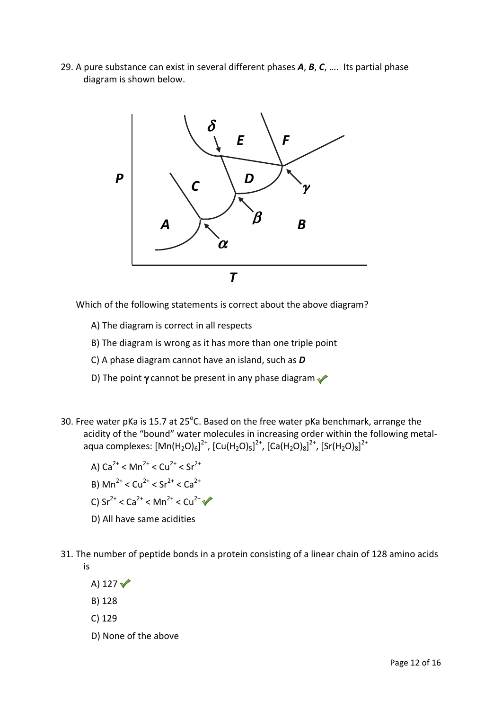29. A pure substance can exist in several different phases *A*, *B*, *C*, …. Its partial phase diagram is shown below.



Which of the following statements is correct about the above diagram?

- A) The diagram is correct in all respects
- B) The diagram is wrong as it has more than one triple point
- C) A phase diagram cannot have an island, such as *D*
- D) The point  $\gamma$  cannot be present in any phase diagram
- 30. Free water pKa is 15.7 at 25 $^{\circ}$ C. Based on the free water pKa benchmark, arrange the acidity of the "bound" water molecules in increasing order within the following metalaqua complexes: [Mn(H<sub>2</sub>O)<sub>6</sub>]<sup>2+</sup>, [Cu(H<sub>2</sub>O)<sub>5</sub>]<sup>2+</sup>, [Ca(H<sub>2</sub>O)<sub>8</sub>]<sup>2+</sup>, [Sr(H<sub>2</sub>O)<sub>8</sub>]<sup>2+</sup>
	- A)  $Ca^{2+}$  < Mn<sup>2+</sup> < Cu<sup>2+</sup> < Sn<sup>2+</sup>
	- B)  $\text{Mn}^{2+} < \text{Cu}^{2+} < \text{Sr}^{2+} < \text{Ca}^{2+}$
	- C)  $Sr^{2+} < Ca^{2+} < Mn^{2+} < Cu^{2+}$
	- D) All have same acidities
- 31. The number of peptide bonds in a protein consisting of a linear chain of 128 amino acids is
	- A) 127 $\sqrt{ }$
	- B) 128
	- C) 129
	- D) None of the above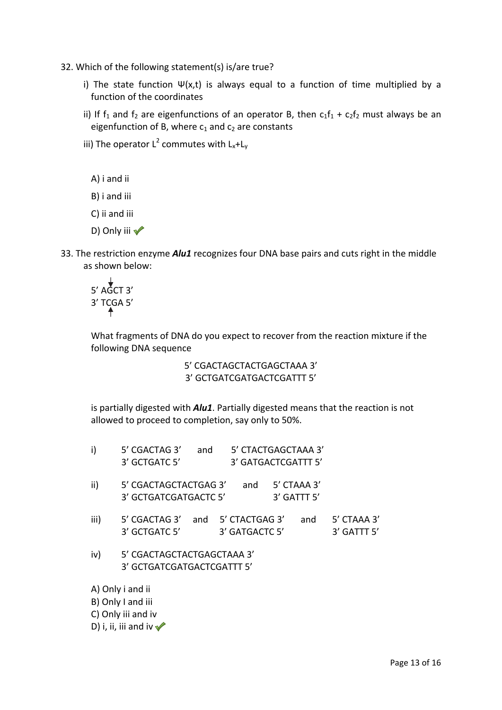- 32. Which of the following statement(s) is/are true?
	- i) The state function  $\Psi(x,t)$  is always equal to a function of time multiplied by a function of the coordinates
	- ii) If  $f_1$  and  $f_2$  are eigenfunctions of an operator B, then  $c_1f_1 + c_2f_2$  must always be an eigenfunction of B, where  $c_1$  and  $c_2$  are constants
	- iii) The operator  $L^2$  commutes with  $L_x + L_y$ 
		- A) i and ii
		- B) i and iii
		- C) ii and iii
		- D) Only iii √
- 33. The restriction enzyme *Alu1* recognizes four DNA base pairs and cuts right in the middle as shown below:

$$
\begin{array}{c}\n\downarrow \\
5' \text{ AGCT } 3' \\
3' \text{ TCGA } 5'\n\end{array}
$$

What fragments of DNA do you expect to recover from the reaction mixture if the following DNA sequence

> 5' CGACTAGCTACTGAGCTAAA 3' 3' GCTGATCGATGACTCGATTT 5'

is partially digested with *Alu1*. Partially digested means that the reaction is not allowed to proceed to completion, say only to 50%.

| i)                 | 5' CGACTAG 3'<br>3' GCTGATC 5'                           | and |                                      | 5' CTACTGAGCTAAA 3'<br>3' GATGACTCGATTT 5' |             |                            |  |
|--------------------|----------------------------------------------------------|-----|--------------------------------------|--------------------------------------------|-------------|----------------------------|--|
| ii)                | 5' CGACTAGCTACTGAG 3'                                    |     | and                                  |                                            | 5' CTAAA 3' |                            |  |
|                    | 3' GCTGATCGATGACTC 5'                                    |     |                                      |                                            | 3' GATTT 5' |                            |  |
| iii)               | 5' CGACTAG 3'<br>3' GCTGATC 5'                           |     | and 5' CTACTGAG 3'<br>3' GATGACTC 5' |                                            | and         | 5' CTAAA 3'<br>3' GATTT 5' |  |
| iv)                | 5' CGACTAGCTACTGAGCTAAA 3'<br>3' GCTGATCGATGACTCGATTT 5' |     |                                      |                                            |             |                            |  |
| A) Only i and ii   |                                                          |     |                                      |                                            |             |                            |  |
|                    | B) Only I and iii                                        |     |                                      |                                            |             |                            |  |
| C) Only iii and iv |                                                          |     |                                      |                                            |             |                            |  |
|                    | D) i, ii, iii and iv $\sqrt{\ }$                         |     |                                      |                                            |             |                            |  |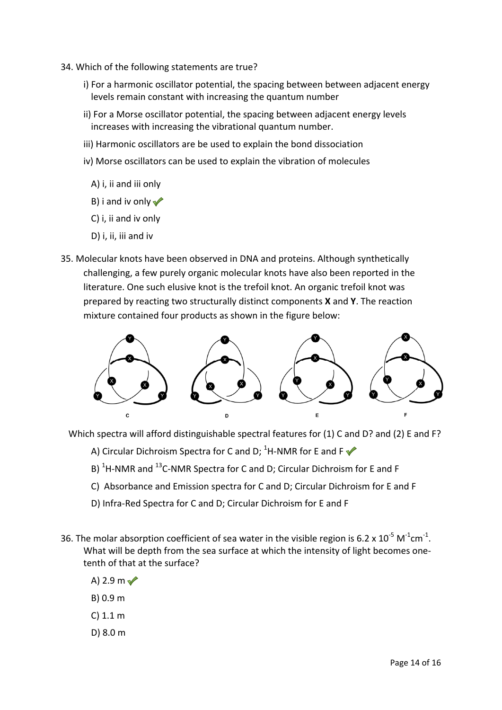- 34. Which of the following statements are true?
	- i) For a harmonic oscillator potential, the spacing between between adjacent energy levels remain constant with increasing the quantum number
	- ii) For a Morse oscillator potential, the spacing between adjacent energy levels increases with increasing the vibrational quantum number.
	- iii) Harmonic oscillators are be used to explain the bond dissociation
	- iv) Morse oscillators can be used to explain the vibration of molecules
		- A) i, ii and iii only
		- B) i and iv only  $\sqrt{\ }$
		- C) i, ii and iv only
		- D) i, ii, iii and iv
- 35. Molecular knots have been observed in DNA and proteins. Although synthetically challenging, a few purely organic molecular knots have also been reported in the literature. One such elusive knot is the trefoil knot. An organic trefoil knot was prepared by reacting two structurally distinct components **X** and **Y**. The reaction mixture contained four products as shown in the figure below:



Which spectra will afford distinguishable spectral features for (1) C and D? and (2) E and F?

- A) Circular Dichroism Spectra for C and D;  ${}^{1}$ H-NMR for E and F
- B)  ${}^{1}$ H-NMR and  ${}^{13}$ C-NMR Spectra for C and D; Circular Dichroism for E and F
	- C) Absorbance and Emission spectra for C and D; Circular Dichroism for E and F
	- D) Infra-Red Spectra for C and D; Circular Dichroism for E and F
- 36. The molar absorption coefficient of sea water in the visible region is 6.2 x  $10^{-5}$  M<sup>-1</sup>cm<sup>-1</sup>. What will be depth from the sea surface at which the intensity of light becomes onetenth of that at the surface?
	- A) 2.9 m $\sqrt{ }$
	- B) 0.9 m
	- C) 1.1 m
	- D) 8.0 m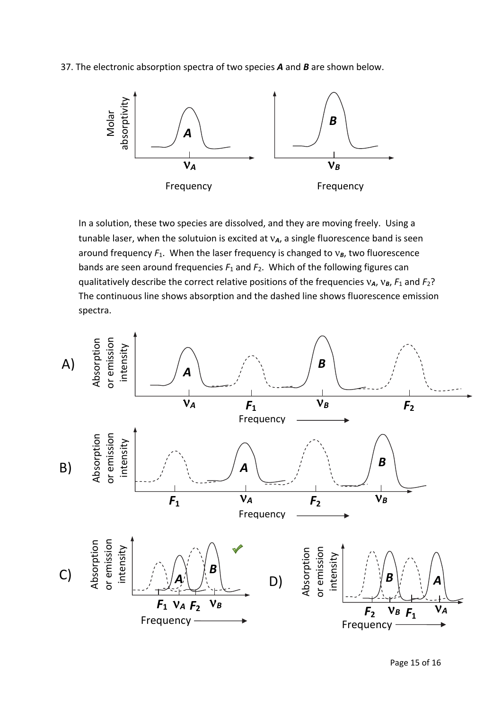37. The electronic absorption spectra of two species *A* and *B* are shown below.



 In a solution, these two species are dissolved, and they are moving freely. Using a tunable laser, when the solutuion is excited at ν*A*, a single fluorescence band is seen around frequency *F*1. When the laser frequency is changed to ν*B*, two fluorescence bands are seen around frequencies *F*1 and *F*2. Which of the following figures can qualitatively describe the correct relative positions of the frequencies ν*A*, ν*B*, *F*1 and *F*2? The continuous line shows absorption and the dashed line shows fluorescence emission spectra.